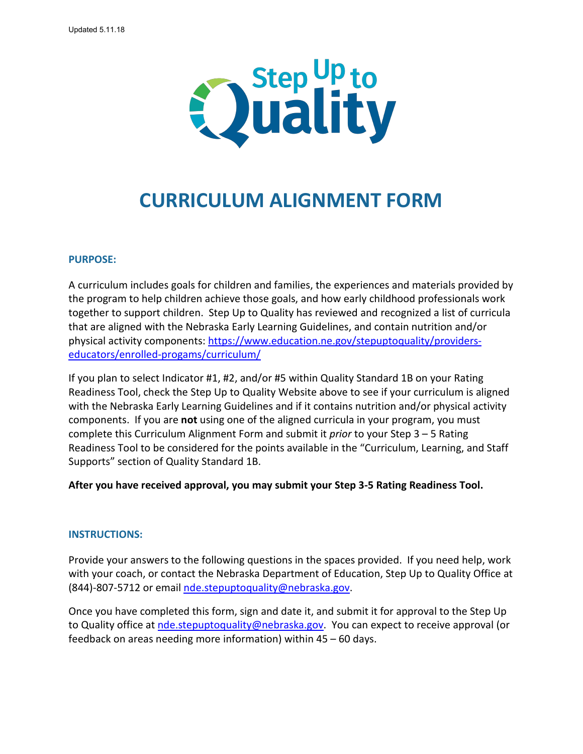

# **CURRICULUM ALIGNMENT FORM**

## **PURPOSE:**

A curriculum includes goals for children and families, the experiences and materials provided by the program to help children achieve those goals, and how early childhood professionals work together to support children. Step Up to Quality has reviewed and recognized a list of curricula that are aligned with the Nebraska Early Learning Guidelines, and contain nutrition and/or physical activity components: [https://www.education.ne.gov/stepuptoquality/providers](https://www.education.ne.gov/stepuptoquality/providers-educators/enrolled-progams/curriculum/)[educators/enrolled-progams/curriculum/](https://www.education.ne.gov/stepuptoquality/providers-educators/enrolled-progams/curriculum/)

If you plan to select Indicator #1, #2, and/or #5 within Quality Standard 1B on your Rating Readiness Tool, check the Step Up to Quality Website above to see if your curriculum is aligned with the Nebraska Early Learning Guidelines and if it contains nutrition and/or physical activity components. If you are **not** using one of the aligned curricula in your program, you must complete this Curriculum Alignment Form and submit it *prior* to your Step 3 – 5 Rating Readiness Tool to be considered for the points available in the "Curriculum, Learning, and Staff Supports" section of Quality Standard 1B.

**After you have received approval, you may submit your Step 3-5 Rating Readiness Tool.** 

## **INSTRUCTIONS:**

Provide your answers to the following questions in the spaces provided. If you need help, work with your coach, or contact the Nebraska Department of Education, Step Up to Quality Office at (844)-807-5712 or email [nde.stepuptoquality@nebraska.gov.](mailto:nde.stepuptoquality@nebraska.gov)

Once you have completed this form, sign and date it, and submit it for approval to the Step Up to Quality office at [nde.stepuptoquality@nebraska.gov.](mailto:nde.stepuptoquality@nebraska.gov) You can expect to receive approval (or feedback on areas needing more information) within 45 – 60 days.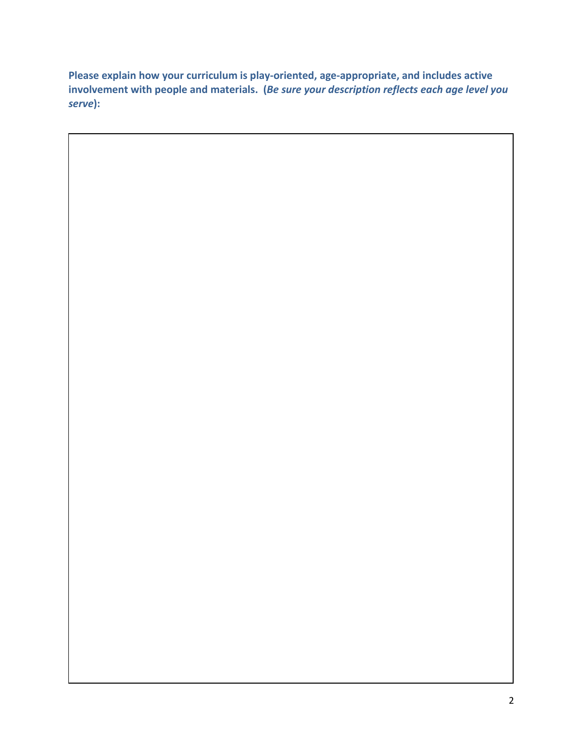**Please explain how your curriculum is play-oriented, age-appropriate, and includes active involvement with people and materials. (***Be sure your description reflects each age level you serve***):**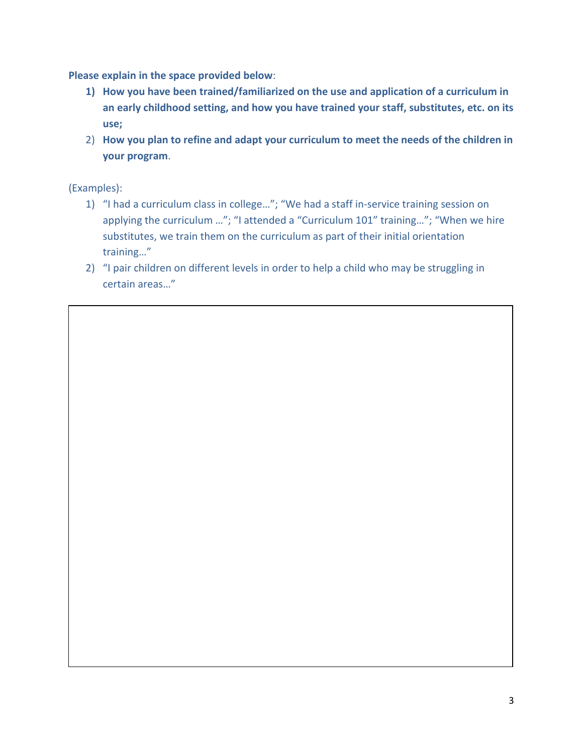**Please explain in the space provided below**:

- **1) How you have been trained/familiarized on the use and application of a curriculum in an early childhood setting, and how you have trained your staff, substitutes, etc. on its use;**
- 2) **How you plan to refine and adapt your curriculum to meet the needs of the children in your program**.

(Examples):

- 1) "I had a curriculum class in college…"; "We had a staff in-service training session on applying the curriculum …"; "I attended a "Curriculum 101" training…"; "When we hire substitutes, we train them on the curriculum as part of their initial orientation training…"
- 2) "I pair children on different levels in order to help a child who may be struggling in certain areas…"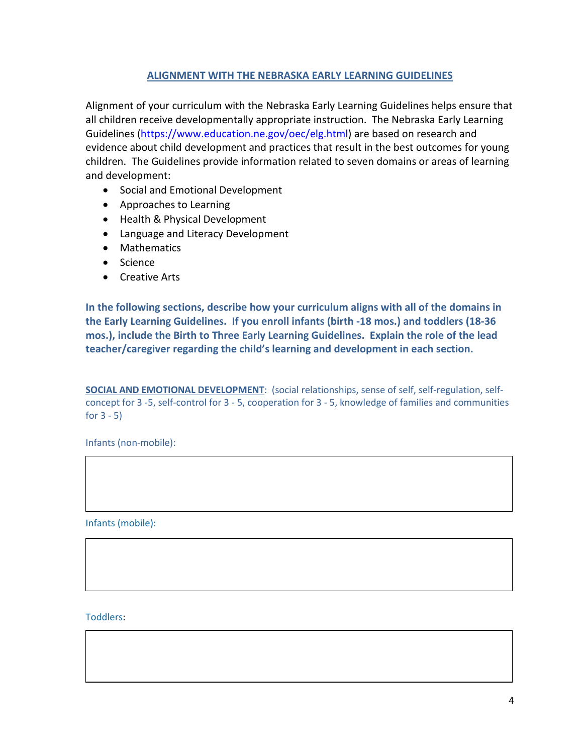## **ALIGNMENT WITH THE NEBRASKA EARLY LEARNING GUIDELINES**

Alignment of your curriculum with the Nebraska Early Learning Guidelines helps ensure that all children receive developmentally appropriate instruction. The Nebraska Early Learning Guidelines [\(https://www.education.ne.gov/oec/elg.html\)](https://www.education.ne.gov/oec/elg.html) are based on research and evidence about child development and practices that result in the best outcomes for young children. The Guidelines provide information related to seven domains or areas of learning and development:

- Social and Emotional Development
- Approaches to Learning
- Health & Physical Development
- Language and Literacy Development
- Mathematics
- Science
- Creative Arts

**In the following sections, describe how your curriculum aligns with all of the domains in the Early Learning Guidelines. If you enroll infants (birth -18 mos.) and toddlers (18-36 mos.), include the Birth to Three Early Learning Guidelines. Explain the role of the lead teacher/caregiver regarding the child's learning and development in each section.**

**SOCIAL AND EMOTIONAL DEVELOPMENT**: (social relationships, sense of self, self-regulation, selfconcept for 3 -5, self-control for 3 - 5, cooperation for 3 - 5, knowledge of families and communities for  $3 - 5$ )

Infants (non-mobile):

Infants (mobile):

Toddlers: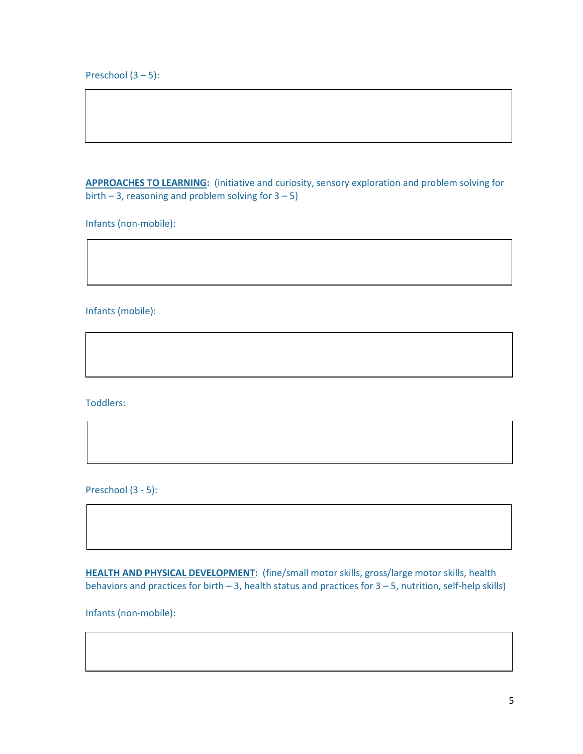Preschool  $(3 - 5)$ :

**APPROACHES TO LEARNING:** (initiative and curiosity, sensory exploration and problem solving for birth  $-3$ , reasoning and problem solving for  $3 - 5$ )

Infants (non-mobile):

Infants (mobile):

Toddlers:

Preschool (3 - 5):

**HEALTH AND PHYSICAL DEVELOPMENT:** (fine/small motor skills, gross/large motor skills, health behaviors and practices for birth – 3, health status and practices for 3 – 5, nutrition, self-help skills)

Infants (non-mobile):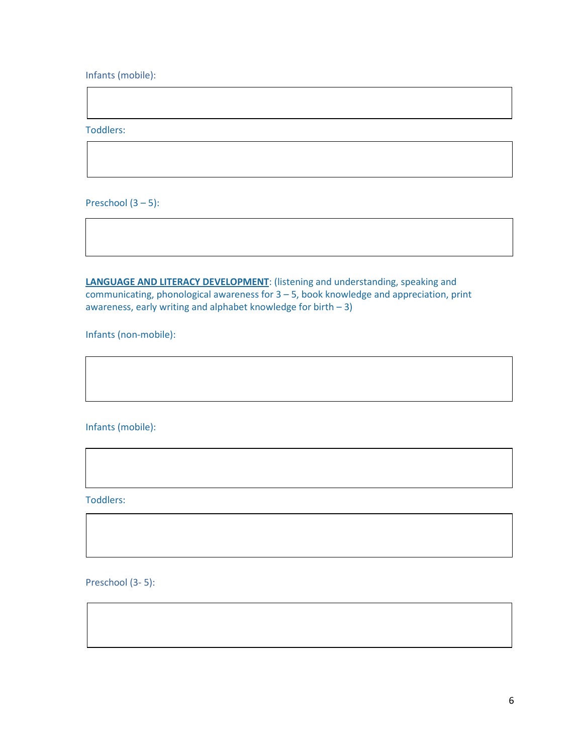Infants (mobile):

Toddlers:

Preschool  $(3 - 5)$ :

**LANGUAGE AND LITERACY DEVELOPMENT**: (listening and understanding, speaking and communicating, phonological awareness for 3 – 5, book knowledge and appreciation, print awareness, early writing and alphabet knowledge for birth  $-3$ )

Infants (non-mobile):

Infants (mobile):

Toddlers:

Preschool (3- 5):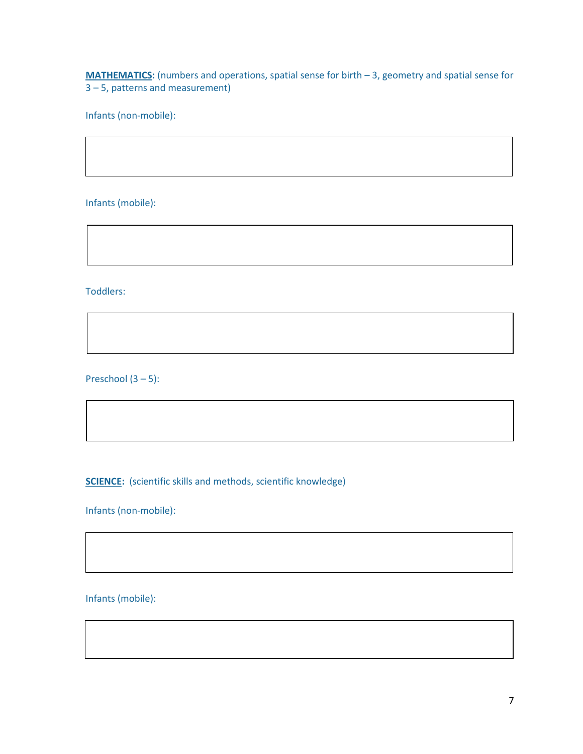**MATHEMATICS:** (numbers and operations, spatial sense for birth – 3, geometry and spatial sense for 3 – 5, patterns and measurement)

Infants (non-mobile):

Infants (mobile):

Toddlers:

Preschool (3 – 5):

**SCIENCE:** (scientific skills and methods, scientific knowledge)

Infants (non-mobile):

Infants (mobile):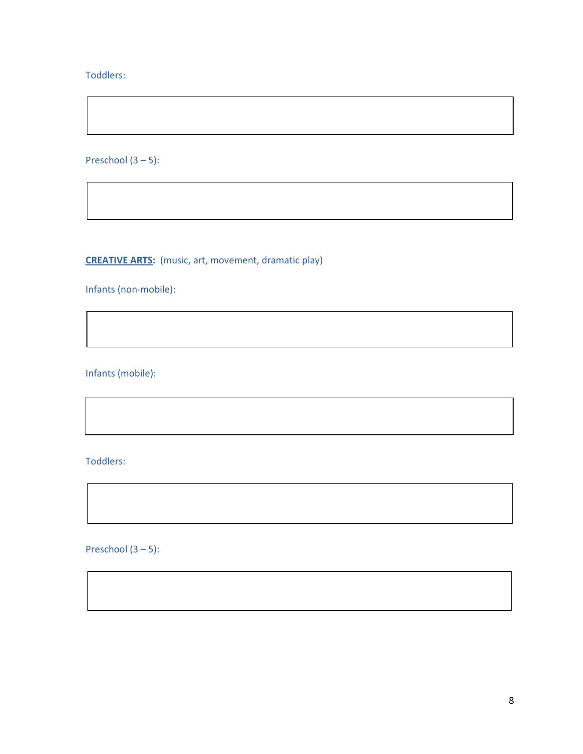## Toddlers:

Preschool (3 – 5):

**CREATIVE ARTS:** (music, art, movement, dramatic play)

Infants (non-mobile):

Infants (mobile):

Toddlers:

Preschool  $(3 - 5)$ :